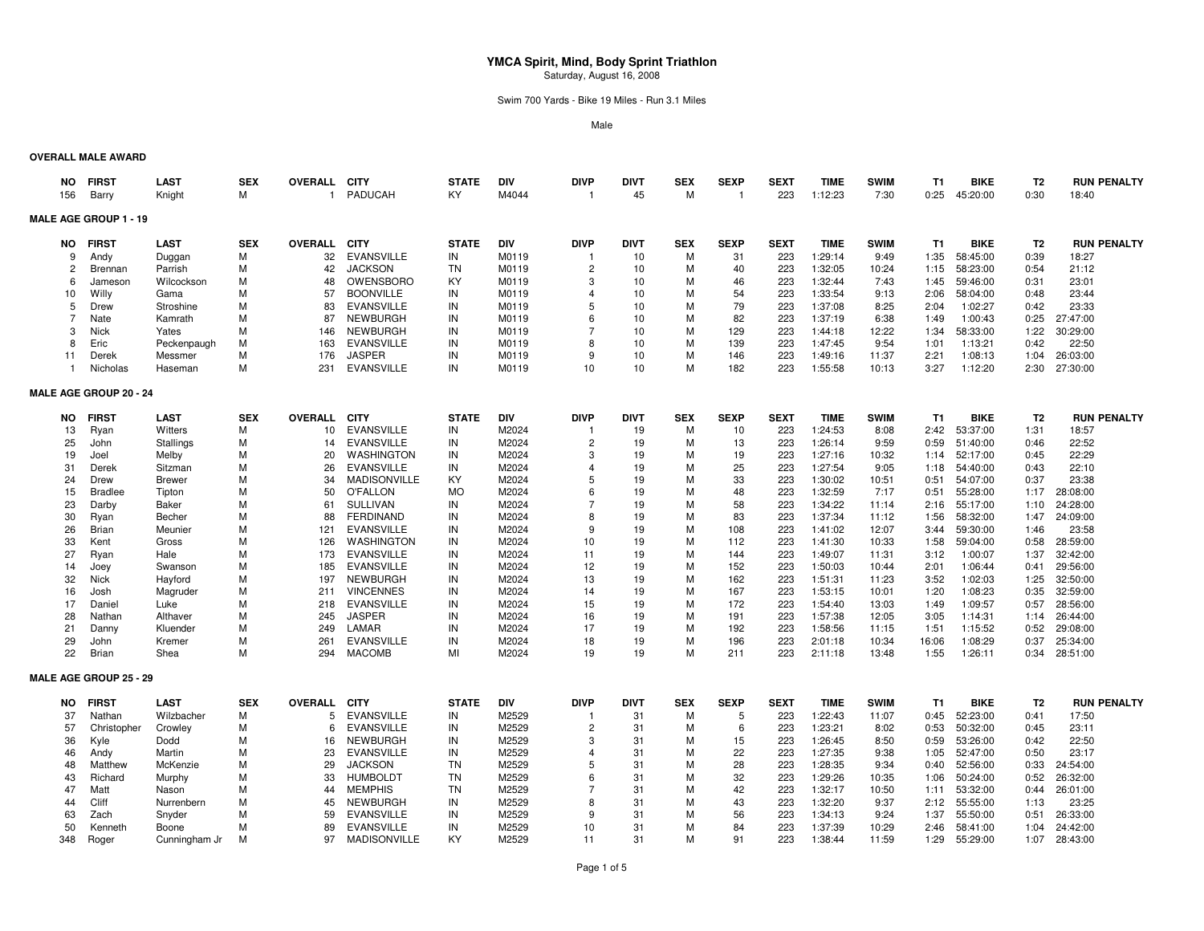Swim 700 Yards - Bike 19 Miles - Run 3.1 Miles

Male

#### **OVERALL MALE AWARD**

| NO<br>156      | <b>FIRST</b><br>Barry         | <b>LAST</b><br>Knight | <b>SEX</b><br>М | <b>OVERALL</b><br>$\mathbf{1}$ | <b>CITY</b><br>PADUCAH                 | <b>STATE</b><br>KY     | <b>DIV</b><br>M4044 | <b>DIVP</b><br>$\overline{1}$ | <b>DIVT</b><br>45 | <b>SEX</b><br>M | <b>SEXP</b><br>-1 | <b>SEXT</b><br>223 | <b>TIME</b><br>1:12:23 | <b>SWIM</b><br>7:30 | <b>T1</b><br>0:25 | <b>BIKE</b><br>45:20:00 | T <sub>2</sub><br>0:30 | <b>RUN PENALTY</b><br>18:40 |
|----------------|-------------------------------|-----------------------|-----------------|--------------------------------|----------------------------------------|------------------------|---------------------|-------------------------------|-------------------|-----------------|-------------------|--------------------|------------------------|---------------------|-------------------|-------------------------|------------------------|-----------------------------|
|                | <b>MALE AGE GROUP 1 - 19</b>  |                       |                 |                                |                                        |                        |                     |                               |                   |                 |                   |                    |                        |                     |                   |                         |                        |                             |
| NO.            | <b>FIRST</b>                  | <b>LAST</b>           | <b>SEX</b>      | OVERALL CITY                   |                                        | <b>STATE</b>           | <b>DIV</b>          | <b>DIVP</b>                   | <b>DIVT</b>       | <b>SEX</b>      | <b>SEXP</b>       | <b>SEXT</b>        | <b>TIME</b>            | <b>SWIM</b>         | <b>T1</b>         | <b>BIKE</b>             | T <sub>2</sub>         | <b>RUN PENALTY</b>          |
| 9              | Andy                          | Duggan                | M               | 32                             | <b>EVANSVILLE</b>                      | IN                     | M0119               | -1                            | 10                | M               | 31                | 223                | 1:29:14                | 9:49                | 1:35              | 58:45:00                | 0:39                   | 18:27                       |
| 2              | Brennan                       | Parrish               | M               | 42                             | <b>JACKSON</b>                         | TN                     | M0119               | $\overline{c}$                | 10                | M               | 40                | 223                | 1:32:05                | 10:24               | 1:15              | 58:23:00                | 0:54                   | 21:12                       |
| 6              | Jameson                       | Wilcockson            | M               | 48                             | <b>OWENSBORO</b>                       | KY                     | M0119               | 3                             | 10                | M               | 46                | 223                | 1:32:44                | 7:43                | 1:45              | 59:46:00                | 0:31                   | 23:01                       |
| 10             | Willy                         | Gama                  | M               | 57                             | <b>BOONVILLE</b>                       | IN                     | M0119               | 4                             | 10                | M               | 54                | 223                | 1:33:54                | 9:13                | 2:06              | 58:04:00                | 0:48                   | 23:44                       |
| 5              | Drew                          | Stroshine             | M               | 83                             | <b>EVANSVILLE</b>                      | IN                     | M0119               | 5                             | 10                | M               | 79                | 223                | 1:37:08                | 8:25                | 2:04              | 1:02:27                 | 0:42                   | 23:33                       |
| $\overline{7}$ | Nate                          | Kamrath               | M               | 87                             | <b>NEWBURGH</b>                        | IN                     | M0119               | 6                             | 10                | M               | 82                | 223                | 1:37:19                | 6:38                | 1:49              | 1:00:43                 | 0:25                   | 27:47:00                    |
| 3              | <b>Nick</b>                   | Yates                 | M               | 146                            | <b>NEWBURGH</b>                        | IN                     | M0119               | $\overline{7}$                | 10                | M               | 129               | 223                | 1:44:18                | 12:22               | 1:34              | 58:33:00                | 1:22                   | 30:29:00                    |
| 8              | Eric                          | Peckenpaugh           | M               | 163                            | <b>EVANSVILLE</b>                      | IN                     | M0119               | 8                             | 10                | M               | 139               | 223                | 1:47:45                | 9:54                | 1:01              | 1:13:21                 | 0:42                   | 22:50                       |
| 11             | Derek                         | Messmer               | M               | 176                            | <b>JASPER</b>                          | IN                     | M0119               | 9                             | 10                | M               | 146               | 223                | 1:49:16                | 11:37               | 2:21              | 1:08:13                 | 1:04                   | 26:03:00                    |
| -1             | Nicholas                      | Haseman               | М               | 231                            | <b>EVANSVILLE</b>                      | IN                     | M0119               | 10                            | 10                | M               | 182               | 223                | 1:55:58                | 10:13               | 3:27              | 1:12:20                 | 2:30                   | 27:30:00                    |
|                | <b>MALE AGE GROUP 20 - 24</b> |                       |                 |                                |                                        |                        |                     |                               |                   |                 |                   |                    |                        |                     |                   |                         |                        |                             |
| <b>NO</b>      | <b>FIRST</b>                  | <b>LAST</b>           | <b>SEX</b>      | <b>OVERALL</b>                 | <b>CITY</b>                            | <b>STATE</b>           | <b>DIV</b>          | <b>DIVP</b>                   | <b>DIVT</b>       | <b>SEX</b>      | <b>SEXP</b>       | <b>SEXT</b>        | <b>TIME</b>            | <b>SWIM</b>         | <b>T1</b>         | <b>BIKE</b>             | T <sub>2</sub>         | <b>RUN PENALTY</b>          |
| 13             | Ryan                          | Witters               | М               | 10                             | <b>EVANSVILLE</b>                      | IN                     | M2024               | -1                            | 19                | М               | 10                | 223                | 1:24:53                | 8:08                | 2:42              | 53:37:00                | 1:31                   | 18:57                       |
| 25             | John                          | <b>Stallings</b>      | M               | 14                             | <b>EVANSVILLE</b>                      | IN                     | M2024               | $\overline{c}$                | 19                | M               | 13                | 223                | 1:26:14                | 9:59                | 0:59              | 51:40:00                | 0:46                   | 22:52                       |
| 19             | Joel                          | Melby                 | M               | 20                             | WASHINGTON                             | IN                     | M2024               | 3                             | 19                | M               | 19                | 223                | 1:27:16                | 10:32               | 1:14              | 52:17:00                | 0:45                   | 22:29                       |
| 31             | Derek                         | Sitzman               | M               | 26                             | <b>EVANSVILLE</b>                      | IN                     | M2024               | 4                             | 19                | M               | 25                | 223                | 1:27:54                | 9:05                | 1:18              | 54:40:00                | 0:43                   | 22:10                       |
| 24             | Drew                          | <b>Brewer</b>         | M               | 34                             | <b>MADISONVILLE</b>                    | KY                     | M2024               | 5                             | 19                | M               | 33                | 223                | 1:30:02                | 10:51               | 0:51              | 54:07:00                | 0:37                   | 23:38                       |
| 15             | <b>Bradlee</b>                | Tipton                | M               | 50                             | <b>O'FALLON</b>                        | <b>MO</b>              | M2024               | 6                             | 19                | M               | 48                | 223                | 1:32:59                | 7:17                | 0:51              | 55:28:00                | 1:17                   | 28:08:00                    |
| 23             | Darby                         | Baker                 | M               | 61                             | <b>SULLIVAN</b>                        | IN                     | M2024               | $\overline{7}$                | 19                | M               | 58                | 223                | 1:34:22                | 11:14               | 2:16              | 55:17:00                | 1:10                   | 24:28:00                    |
| 30             | Ryan                          | Becher                | M               | 88                             | <b>FERDINAND</b>                       | IN                     | M2024               | 8                             | 19                | M               | 83                | 223                | 1:37:34                | 11:12               | 1:56              | 58:32:00                | 1:47                   | 24:09:00                    |
| 26             | Brian                         | Meunier               | M               | 121                            | <b>EVANSVILLE</b>                      | IN                     | M2024               | 9                             | 19                | M               | 108               | 223                | 1:41:02                | 12:07               | 3:44              | 59:30:00                | 1:46                   | 23:58                       |
| 33             | Kent                          | Gross                 | M               | 126                            | <b>WASHINGTON</b>                      | IN                     | M2024               | 10                            | 19                | M               | 112               | 223                | 1:41:30                | 10:33               | 1:58              | 59:04:00                | 0:58                   | 28:59:00                    |
| 27             | Ryan                          | Hale                  | M               | 173                            | <b>EVANSVILLE</b>                      | IN                     | M2024               | 11                            | 19                | M               | 144               | 223                | 1:49:07                | 11:31               | 3:12              | 1:00:07                 | 1:37                   | 32:42:00                    |
| 14             | Joey                          | Swanson               | M               | 185                            | <b>EVANSVILLE</b>                      | IN                     | M2024               | 12                            | 19                | M               | 152               | 223                | 1:50:03                | 10:44               | 2:01              | 1:06:44                 | 0:41                   | 29:56:00                    |
| 32             | Nick                          | Hayford               | M               | 197                            | <b>NEWBURGH</b>                        | IN                     | M2024               | 13                            | 19                | м               | 162               | 223                | 1:51:31                | 11:23               | 3:52              | 1:02:03                 | 1:25                   | 32:50:00                    |
| 16             | Josh                          | Magruder              | M               | 211                            | <b>VINCENNES</b>                       | IN                     | M2024               | 14                            | 19                | M               | 167               | 223                | 1:53:15                | 10:01               | 1:20              | 1:08:23                 | 0:35                   | 32:59:00                    |
| 17             | Daniel                        | Luke                  | M               | 218                            | <b>EVANSVILLE</b>                      | IN                     | M2024               | 15                            | 19                | M               | 172               | 223                | 1:54:40                | 13:03               | 1:49              | 1:09:57                 | 0:57                   | 28:56:00                    |
| 28<br>21       | Nathan                        | Althaver              | M<br>M          | 245<br>249                     | <b>JASPER</b><br>LAMAR                 | IN<br>IN               | M2024<br>M2024      | 16<br>17                      | 19<br>19          | м<br>M          | 191<br>192        | 223<br>223         | 1:57:38<br>1:58:56     | 12:05<br>11:15      | 3:05<br>1:51      | 1:14:31<br>1:15:52      | 1:14<br>0:52           | 26:44:00<br>29:08:00        |
|                | Danny                         | Kluender              | M               | 261                            | <b>EVANSVILLE</b>                      | IN                     | M2024               | 18                            | 19                | M               | 196               | 223                |                        |                     |                   |                         | 0:37                   | 25:34:00                    |
| 29<br>22       | John<br>Brian                 | Kremer<br>Shea        | M               | 294                            | <b>MACOMB</b>                          | MI                     | M2024               | 19                            | 19                | M               | 211               | 223                | 2:01:18<br>2:11:18     | 10:34<br>13:48      | 16:06<br>1:55     | 1:08:29<br>1:26:11      | 0:34                   | 28:51:00                    |
|                |                               |                       |                 |                                |                                        |                        |                     |                               |                   |                 |                   |                    |                        |                     |                   |                         |                        |                             |
|                | <b>MALE AGE GROUP 25 - 29</b> |                       |                 |                                |                                        |                        |                     |                               |                   |                 |                   |                    |                        |                     |                   |                         |                        |                             |
| NO.            | <b>FIRST</b>                  | <b>LAST</b>           | <b>SEX</b>      | <b>OVERALL</b>                 | <b>CITY</b>                            | <b>STATE</b>           | DIV                 | <b>DIVP</b>                   | <b>DIVT</b>       | <b>SEX</b>      | <b>SEXP</b>       | <b>SEXT</b>        | <b>TIME</b>            | <b>SWIM</b>         | T1                | <b>BIKE</b>             | T <sub>2</sub>         | <b>RUN PENALTY</b>          |
| 37             | Nathan                        | Wilzbacher            | м               | 5                              | <b>EVANSVILLE</b>                      | IN                     | M2529               | -1                            | 31                | м               | 5                 | 223                | 1:22:43                | 11:07               | 0:45              | 52:23:00                | 0:41                   | 17:50                       |
| 57             | Christopher                   | Crowley               | M               | 6                              | <b>EVANSVILLE</b>                      | IN                     | M2529               | $\overline{2}$                | 31                | M               | 6                 | 223                | 1:23:21                | 8:02                | 0:53              | 50:32:00                | 0:45                   | 23:11                       |
| 36             | Kyle                          | Dodd                  | M               | 16                             | <b>NEWBURGH</b>                        | IN                     | M2529               | 3                             | 31                | M               | 15                | 223                | 1:26:45                | 8:50                | 0:59              | 53:26:00                | 0:42                   | 22:50                       |
| 46             | Andy                          | Martin                | M               | 23                             | <b>EVANSVILLE</b>                      | IN                     | M2529               | $\overline{4}$                | 31                | M               | 22                | 223                | 1:27:35                | 9:38                | 1:05              | 52:47:00                | 0:50                   | 23:17                       |
| 48             | Matthew                       | McKenzie              | M               | 29                             | <b>JACKSON</b>                         | <b>TN</b>              | M2529               | 5                             | 31                | M               | 28                | 223                | 1:28:35                | 9:34                | 0:40              | 52:56:00                | 0:33                   | 24:54:00                    |
| 43             | Richard                       | Murphy                | M               | 33                             | <b>HUMBOLDT</b>                        | <b>TN</b><br><b>TN</b> | M2529               | 6<br>$\overline{7}$           | 31                | M               | 32                | 223                | 1:29:26                | 10:35               | 1:06              | 50:24:00                | 0:52                   | 26:32:00                    |
| 47             | Matt                          | Nason                 | M               | 44                             | <b>MEMPHIS</b>                         |                        | M2529               |                               | 31                | M               | 42                | 223                | 1:32:17                | 10:50               | 1:11              | 53:32:00                | 0:44                   | 26:01:00                    |
| 44             | Cliff                         | Nurrenbern            | M<br>M          | 45                             | <b>NEWBURGH</b>                        | IN<br>IN               | M2529               | 8<br>9                        | 31                | M               | 43                | 223                | 1:32:20                | 9:37                | 2:12              | 55:55:00                | 1:13                   | 23:25                       |
| 63<br>50       | Zach                          | Snyder                | M               | 59<br>89                       | <b>EVANSVILLE</b><br><b>EVANSVILLE</b> | IN                     | M2529<br>M2529      | 10                            | 31<br>31          | M<br>M          | 56<br>84          | 223<br>223         | 1:34:13<br>1:37:39     | 9:24<br>10:29       | 1:37<br>2:46      | 55:50:00<br>58:41:00    | 0:51<br>1:04           | 26:33:00<br>24:42:00        |
| 348            | Kenneth                       | Boone                 | M               | 97                             | <b>MADISONVILLE</b>                    | KY                     | M2529               | 11                            | 31                | M               | 91                | 223                | 1:38:44                | 11:59               | 1:29              | 55:29:00                | 1:07                   | 28:43:00                    |
|                | Roger                         | Cunningham Jr         |                 |                                |                                        |                        |                     |                               |                   |                 |                   |                    |                        |                     |                   |                         |                        |                             |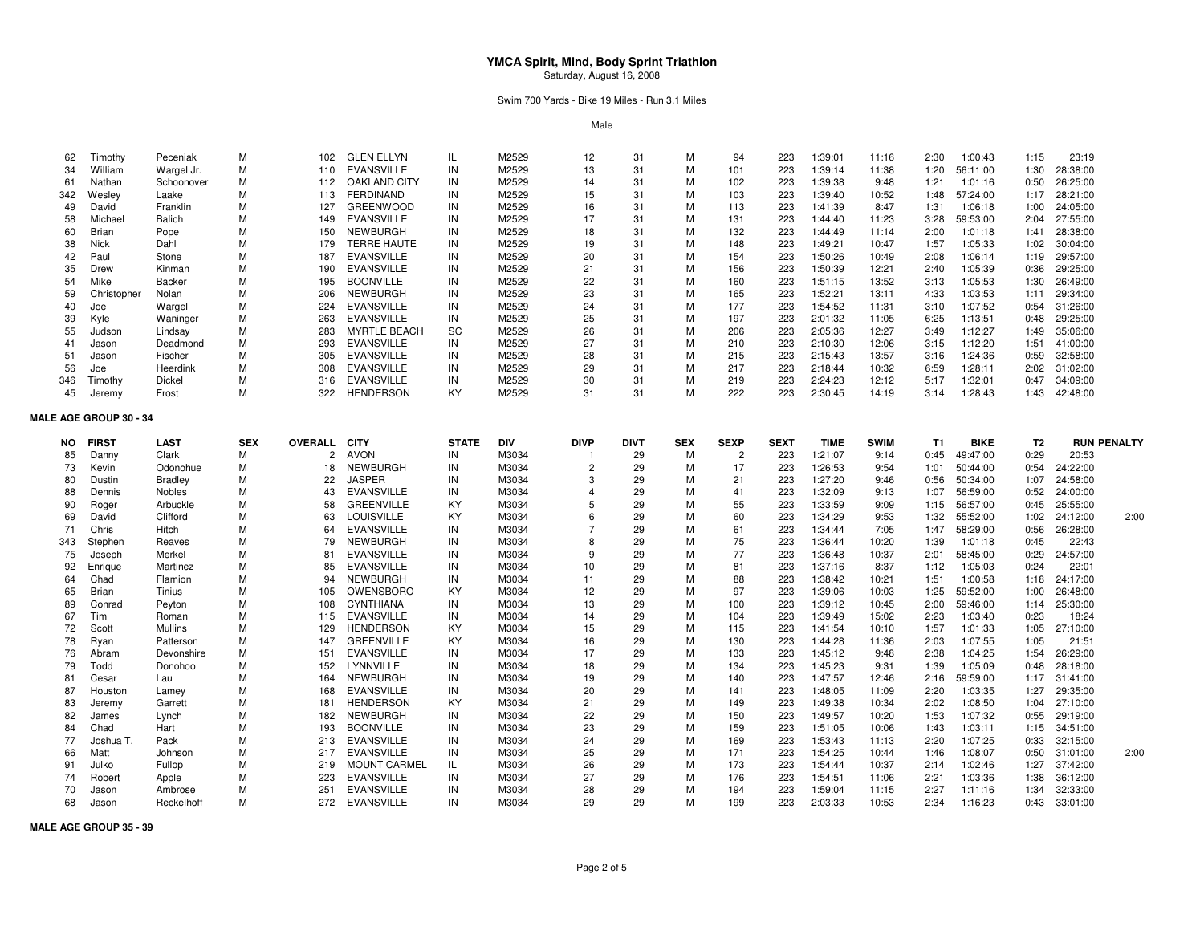Swim 700 Yards - Bike 19 Miles - Run 3.1 Miles

Male

| 62  | Timothy                       | Peceniak         | M          | 102            | <b>GLEN ELLYN</b>   | IL           | M2529          | 12             | 31          | M          | 94             | 223         | 1:39:01     | 11:16          | 2:30      | 1:00:43     | 1:15           | 23:19                |                    |
|-----|-------------------------------|------------------|------------|----------------|---------------------|--------------|----------------|----------------|-------------|------------|----------------|-------------|-------------|----------------|-----------|-------------|----------------|----------------------|--------------------|
| 34  | William                       | Wargel Jr.       | M          | 110            | <b>EVANSVILLE</b>   | IN           | M2529          | 13             | 31          | M          | 101            | 223         | 1:39:14     | 11:38          | 1:20      | 56:11:00    | 1:30           | 28:38:00             |                    |
| 61  | Nathan                        | Schoonover       | M          | 112            | <b>OAKLAND CITY</b> | IN           | M2529          | 14             | 31          | M          | 102            | 223         | 1:39:38     | 9:48           | 1:21      | 1:01:16     | 0:50           | 26:25:00             |                    |
| 342 | Wesley                        | Laake            | M          | 113            | <b>FERDINAND</b>    | IN           | M2529          | 15             | 31          | M          | 103            | 223         | 1:39:40     | 10:52          | 1:48      | 57:24:00    | 1:17           | 28:21:00             |                    |
| 49  | David                         | Franklin         | M          | 127            | <b>GREENWOOD</b>    | IN           | M2529          | 16             | 31          | M          | 113            | 223         | 1:41:39     | 8:47           | 1:31      | 1:06:18     | 1:00           | 24:05:00             |                    |
| 58  | Michael                       | Balich           | M          | 149            | <b>EVANSVILLE</b>   | IN           | M2529          | 17             | 31          | M          | 131            | 223         | 1:44:40     | 11:23          | 3:28      | 59:53:00    | 2:04           | 27:55:00             |                    |
| 60  | Brian                         | Pope             | M          | 150            | <b>NEWBURGH</b>     | IN           | M2529          | 18             | 31          | M          | 132            | 223         | 1:44:49     | 11:14          | 2:00      | 1:01:18     | 1:41           | 28:38:00             |                    |
| 38  | Nick                          | Dahl             | M          | 179            | <b>TERRE HAUTE</b>  | IN           | M2529          | 19             | 31          | M          | 148            | 223         | 1:49:21     | 10:47          | 1:57      | 1:05:33     | 1:02           | 30:04:00             |                    |
| 42  | Paul                          | Stone            | M          | 187            | <b>EVANSVILLE</b>   | IN           | M2529          | 20             | 31          | M          | 154            | 223         | 1:50:26     | 10:49          | 2:08      | 1:06:14     | 1:19           | 29:57:00             |                    |
| 35  | Drew                          | Kinman           | M          | 190            | <b>EVANSVILLE</b>   | IN           | M2529          | 21             | 31          | м          | 156            | 223         | 1:50:39     | 12:21          | 2:40      | 1:05:39     | 0:36           | 29:25:00             |                    |
| 54  | Mike                          | <b>Backer</b>    | M          | 195            | <b>BOONVILLE</b>    | IN           | M2529          | 22             | 31          | M          | 160            | 223         | 1:51:15     | 13:52          | 3:13      | 1:05:53     | 1:30           | 26:49:00             |                    |
| 59  | Christopher                   | Nolan            | M          | 206            | <b>NEWBURGH</b>     | IN           | M2529          | 23             | 31          | M          | 165            | 223         | 1:52:21     | 13:11          | 4:33      | 1:03:53     | 1:11           | 29:34:00             |                    |
| 40  | Joe                           | Wargel           | M          | 224            | <b>EVANSVILLE</b>   | IN           | M2529          | 24             | 31          | M          | 177            | 223         | 1:54:52     | 11:31          | 3:10      | 1:07:52     | 0:54           | 31:26:00             |                    |
| 39  | Kyle                          | Waninger         | M          | 263            | <b>EVANSVILLE</b>   | IN           | M2529          | 25             | 31          | M          | 197            | 223         | 2:01:32     | 11:05          | 6:25      | 1:13:51     | 0:48           | 29:25:00             |                    |
| 55  | Judson                        | Lindsay          | M          | 283            | <b>MYRTLE BEACH</b> | SC           | M2529          | 26             | 31          | M          | 206            | 223         | 2:05:36     | 12:27          | 3:49      | 1:12:27     | 1:49           | 35:06:00             |                    |
| 41  | Jason                         | Deadmond         | M          | 293            | <b>EVANSVILLE</b>   | IN           | M2529          | 27             | -31         | M          | 210            | 223         | 2:10:30     | 12:06          | 3:15      | 1:12:20     | 1:51           | 41:00:00             |                    |
| 51  | Jason                         | Fischer          | M          | 305            | <b>EVANSVILLE</b>   | IN           | M2529          | 28             | 31          | M          | 215            | 223         | 2:15:43     | 13:57          | 3:16      | 1:24:36     | 0:59           | 32:58:00             |                    |
| 56  | Joe                           | Heerdink         | M          | 308            | <b>EVANSVILLE</b>   | IN           | M2529          | 29             | 31          | M          | 217            | 223         | 2:18:44     | 10:32          | 6:59      | 1:28:11     | 2:02           | 31:02:00             |                    |
| 346 | Timothy                       | Dickel           | M          | 316            | <b>EVANSVILLE</b>   | IN           | M2529          | 30             | -31         | M          | 219            | 223         | 2:24:23     | 12:12          | 5:17      | 1:32:01     | 0:47           | 34:09:00             |                    |
| 45  | Jeremy                        | Frost            | M          | 322            | <b>HENDERSON</b>    | KY           | M2529          | 31             | 31          | M          | 222            | 223         | 2:30:45     | 14:19          | 3:14      | 1:28:43     | 1:43           | 42:48:00             |                    |
|     | <b>MALE AGE GROUP 30 - 34</b> |                  |            |                |                     |              |                |                |             |            |                |             |             |                |           |             |                |                      |                    |
| NO. | <b>FIRST</b>                  | <b>LAST</b>      | <b>SEX</b> | OVERALL        | <b>CITY</b>         | <b>STATE</b> | DIV            | <b>DIVP</b>    | <b>DIVT</b> | <b>SEX</b> | <b>SEXP</b>    | <b>SEXT</b> | <b>TIME</b> | <b>SWIM</b>    | <b>T1</b> | <b>BIKE</b> | T <sub>2</sub> |                      | <b>RUN PENALTY</b> |
| 85  | Danny                         | Clark            | M          | $\overline{2}$ | <b>AVON</b>         | IN           | M3034          | $\mathbf{1}$   | 29          | M          | $\overline{c}$ | 223         | 1:21:07     | 9:14           | 0:45      | 49:47:00    | 0:29           | 20:53                |                    |
| 73  | Kevin                         | Odonohue         | M          | 18             | <b>NEWBURGH</b>     | IN           | M3034          | $\overline{2}$ | 29          | M          | 17             | 223         | 1:26:53     | 9:54           | 1:01      | 50:44:00    | 0:54           | 24:22:00             |                    |
| 80  | Dustin                        | <b>Bradley</b>   | M          | 22             | <b>JASPER</b>       | IN           | M3034          | 3              | 29          | M          | 21             | 223         | 1:27:20     | 9:46           | 0:56      | 50:34:00    | 1:07           | 24:58:00             |                    |
| 88  | Dennis                        | Nobles           | M          | 43             | <b>EVANSVILLE</b>   | IN           | M3034          | $\overline{4}$ | 29          | M          | 41             | 223         | 1:32:09     | 9:13           | 1:07      | 56:59:00    | 0:52           | 24:00:00             |                    |
| 90  | Roger                         | Arbuckle         | M          | 58             | <b>GREENVILLE</b>   | KY           | M3034          | 5              | 29          | М          | 55             | 223         | 1:33:59     | 9:09           | 1:15      | 56:57:00    | 0:45           | 25:55:00             |                    |
| 69  | David                         | Clifford         | M          | 63             | <b>LOUISVILLE</b>   | KY           | M3034          | 6              | 29          | М          | 60             | 223         | 1:34:29     | 9:53           | 1:32      | 55:52:00    | 1:02           | 24:12:00             | 2:00               |
| 71  | Chris                         | Hitch            | M          | 64             | <b>EVANSVILLE</b>   | IN           | M3034          | $\overline{7}$ | 29          | М          | 61             | 223         | 1:34:44     | 7:05           | 1:47      | 58:29:00    | 0:56           | 26:28:00             |                    |
| 343 | Stephen                       | Reaves           | M          | 79             | <b>NEWBURGH</b>     | IN           | M3034          | 8              | 29          | М          | 75             | 223         | 1:36:44     | 10:20          | 1:39      | 1:01:18     | 0:45           | 22:43                |                    |
| 75  | Joseph                        | Merkel           | M          | 81             | <b>EVANSVILLE</b>   | IN           | M3034          | 9              | 29          | М          | 77             | 223         | 1:36:48     | 10:37          | 2:01      | 58:45:00    | 0:29           | 24:57:00             |                    |
| 92  | Enrique                       | Martinez         | M          | 85             | <b>EVANSVILLE</b>   | IN           | M3034          | 10             | 29          | M          | 81             | 223         | 1:37:16     | 8:37           | 1:12      | 1:05:03     | 0:24           | 22:01                |                    |
| 64  | Chad                          | Flamion          | M          | 94             | <b>NEWBURGH</b>     | IN           | M3034          | 11             | 29          | м          | 88             | 223         | 1:38:42     | 10:21          | 1:51      | 1:00:58     | 1:18           | 24:17:00             |                    |
| 65  | Brian                         | Tinius           | M          | 105            | OWENSBORO           | KY           | M3034          | 12             | 29          | м          | 97             | 223         | 1:39:06     | 10:03          | 1:25      | 59:52:00    | 1:00           | 26:48:00             |                    |
| 89  | Conrad                        | Peyton           | M          | 108            | <b>CYNTHIANA</b>    | IN           | M3034          | 13             | 29          | M          | 100            | 223         | 1:39:12     | 10:45          | 2:00      | 59:46:00    | 1:14           | 25:30:00             |                    |
| 67  | Tim                           | Roman            | M          | 115            | <b>EVANSVILLE</b>   | IN           | M3034          | 14             | 29          | M          | 104            | 223         | 1:39:49     | 15:02          | 2:23      | 1:03:40     | 0:23           | 18:24                |                    |
| 72  | Scott                         | Mullins          | M          | 129            | <b>HENDERSON</b>    | KY           | M3034          | 15             | 29          | М          | 115            | 223         | 1:41:54     | 10:10          | 1:57      | 1:01:33     | 1:05           | 27:10:00             |                    |
| 78  | Ryan                          | Patterson        | M          | 147            | <b>GREENVILLE</b>   | KY           | M3034          | 16             | 29          | M          | 130            | 223         | 1:44:28     | 11:36          | 2:03      | 1:07:55     | 1:05           | 21:51                |                    |
| 76  | Abram                         | Devonshire       | M          | 151            | <b>EVANSVILLE</b>   | IN           | M3034          | 17             | 29          | M          | 133            | 223         | 1:45:12     | 9:48           | 2:38      | 1:04:25     | 1:54           | 26:29:00             |                    |
| 79  | Todd                          | Donohoo          | M          | 152            | LYNNVILLE           | IN           | M3034          | 18             | 29          | M          | 134            | 223         | 1:45:23     | 9:31           | 1:39      | 1:05:09     | 0:48           | 28:18:00             |                    |
| 81  | Cesar                         | Lau              | M          | 164            | <b>NEWBURGH</b>     | IN           | M3034          | 19             | 29          | M          | 140            | 223         | 1:47:57     | 12:46          | 2:16      | 59:59:00    | 1:17           | 31:41:00             |                    |
| 87  | Houston                       | Lamey            | M          | 168            | <b>EVANSVILLE</b>   | IN           | M3034          | 20             | 29          | M          | 141            | 223         | 1:48:05     | 11:09          | 2:20      | 1:03:35     | 1:27           | 29:35:00             |                    |
| 83  | Jeremy                        | Garrett          | M          | 181            | <b>HENDERSON</b>    | KY           | M3034          | 21             | 29          | M          | 149            | 223         | 1:49:38     | 10:34          | 2:02      | 1:08:50     | 1:04           | 27:10:00             |                    |
| 82  | James                         | Lynch            | M          | 182            | <b>NEWBURGH</b>     | IN           | M3034          | 22             | 29          | M          | 150            | 223         | 1:49:57     | 10:20          | 1:53      | 1:07:32     | 0:55           | 29:19:00             |                    |
| 84  | Chad                          | Hart             | M          | 193            | <b>BOONVILLE</b>    | IN           | M3034          | 23             | 29          | M          | 159            | 223         | 1:51:05     | 10:06          | 1:43      | 1:03:11     | 1:15           | 34:51:00             |                    |
| 77  |                               | Pack             | M          | 213            | <b>EVANSVILLE</b>   | IN           |                | 24             | 29          | M          | 169            | 223         | 1:53:43     |                | 2:20      | 1:07:25     |                |                      |                    |
| 66  | Joshua T.<br>Matt             | Johnson          | M          | 217            | <b>EVANSVILLE</b>   | IN           | M3034<br>M3034 | 25             | 29          | M          | 171            | 223         | 1:54:25     | 11:13<br>10:44 | 1:46      | 1:08:07     | 0:33<br>0:50   | 32:15:00<br>31:01:00 | 2:00               |
| 91  | Julko                         | Fullop           | M          | 219            | <b>MOUNT CARMEL</b> | IL           | M3034          | 26             | 29          | M          | 173            | 223         | 1:54:44     | 10:37          | 2:14      | 1:02:46     | 1:27           | 37:42:00             |                    |
| 74  | Robert                        |                  | M          | 223            | <b>EVANSVILLE</b>   | IN           |                | 27             | 29          | M          | 176            | 223         | 1:54:51     | 11:06          | 2:21      | 1:03:36     | 1:38           | 36:12:00             |                    |
| 70  | Jason                         | Apple<br>Ambrose | M          | 251            | <b>EVANSVILLE</b>   | IN           | M3034<br>M3034 | 28             | 29          | M          | 194            | 223         | 1:59:04     | 11:15          | 2:27      | 1:11:16     | 1:34           | 32:33:00             |                    |
| 68  | Jason                         | Reckelhoff       | M          | 272            | <b>EVANSVILLE</b>   | IN           | M3034          | 29             | 29          | M          | 199            | 223         | 2:03:33     | 10:53          | 2:34      | 1:16:23     | 0:43           | 33:01:00             |                    |
|     |                               |                  |            |                |                     |              |                |                |             |            |                |             |             |                |           |             |                |                      |                    |

**MALE AGE GROUP 35 - 39**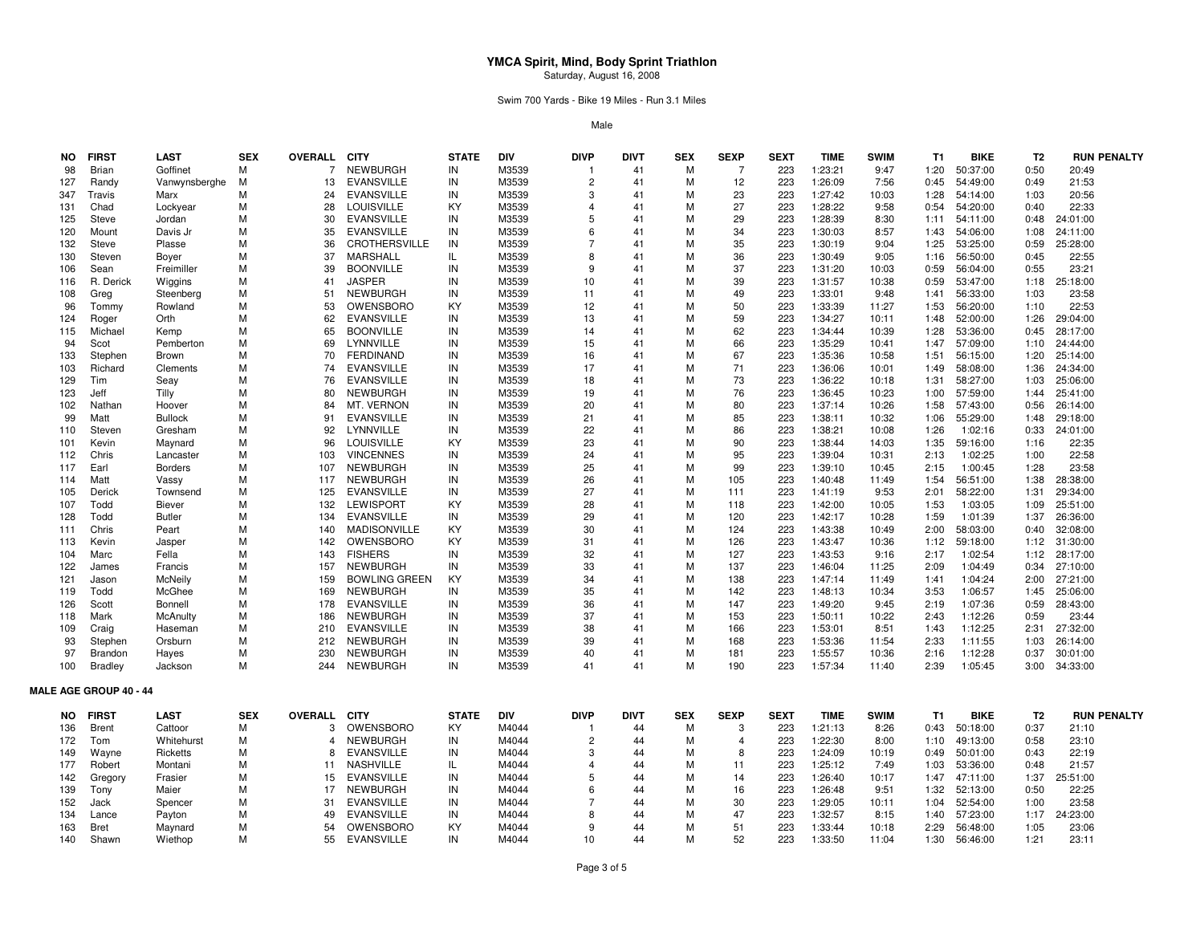Swim 700 Yards - Bike 19 Miles - Run 3.1 Miles

Male

| <b>NO</b>  | <b>FIRST</b>                  | <b>LAST</b>       | <b>SEX</b> | <b>OVERALL CITY</b> |                                    | <b>STATE</b> | <b>DIV</b>     | <b>DIVP</b>             | <b>DIVT</b> | <b>SEX</b> | <b>SEXP</b>    | <b>SEXT</b> | <b>TIME</b>        | <b>SWIM</b>   | <b>T1</b>      | <b>BIKE</b>         | T <sub>2</sub> | <b>RUN PENALTY</b> |
|------------|-------------------------------|-------------------|------------|---------------------|------------------------------------|--------------|----------------|-------------------------|-------------|------------|----------------|-------------|--------------------|---------------|----------------|---------------------|----------------|--------------------|
| 98         | Brian                         | Goffinet          | м          | 7                   | <b>NEWBURGH</b>                    | IN           | M3539          | -1                      | 41          | м          | 7              | 223         | 1:23:21            | 9:47          | 1:20           | 50:37:00            | 0:50           | 20:49              |
| 127        | Randy                         | Vanwynsberghe     | м          | 13                  | <b>EVANSVILLE</b>                  | IN           | M3539          | $\overline{2}$          | 41          | M          | 12             | 223         | 1:26:09            | 7:56          | 0:45           | 54:49:00            | 0:49           | 21:53              |
| 347        | Travis                        | Marx              | M          | 24                  | <b>EVANSVILLE</b>                  | IN           | M3539          | 3                       | 41          | M          | 23             | 223         | 1:27:42            | 10:03         | 1:28           | 54:14:00            | 1:03           | 20:56              |
| 131        | Chad                          | Lockyear          | M          | 28                  | <b>LOUISVILLE</b>                  | KY           | M3539          | $\overline{\mathbf{4}}$ | 41          | M          | 27             | 223         | 1:28:22            | 9:58          | 0:54           | 54:20:00            | 0:40           | 22:33              |
| 125        | Steve                         | Jordan            | М          | 30                  | <b>EVANSVILLE</b>                  | IN           | M3539          | 5                       | 41          | M          | 29             | 223         | 1:28:39            | 8:30          | 1:11           | 54:11:00            | 0:48           | 24:01:00           |
| 120        | Mount                         | Davis Jr          | М          | 35                  | EVANSVILLE                         | IN           | M3539          | 6                       | 41          | м          | 34             | 223         | 1:30:03            | 8:57          | 1:43           | 54:06:00            | 1:08           | 24:11:00           |
| 132        | <b>Steve</b>                  | Plasse            | M          | 36                  | CROTHERSVILLE                      | IN           | M3539          | $\overline{7}$          | 41          | M          | 35             | 223         | 1:30:19            | 9:04          | 1:25           | 53:25:00            | 0:59           | 25:28:00           |
| 130        | Steven                        | Boyer             | М          | 37                  | MARSHALL                           | IL.          | M3539          | 8                       | 41          | M          | 36             | 223         | 1:30:49            | 9:05          | 1:16           | 56:50:00            | 0:45           | 22:55              |
| 106        | Sean                          | Freimiller        | м          | 39                  | <b>BOONVILLE</b>                   | IN           | M3539          | 9                       | 41          | м          | 37             | 223         | 1:31:20            | 10:03         | 0:59           | 56:04:00            | 0:55           | 23:21              |
| 116        | R. Derick                     | Wiggins           | M          | 41                  | <b>JASPER</b>                      | IN           | M3539          | 10                      | 41          | M          | 39             | 223         | 1:31:57            | 10:38         | 0:59           | 53:47:00            | 1:18           | 25:18:00           |
| 108        | Greg                          | Steenberg         | M          | 51                  | <b>NEWBURGH</b>                    | IN           | M3539          | 11                      | 41          | M          | 49             | 223         | 1:33:01            | 9:48          | 1:41           | 56:33:00            | 1:03           | 23:58              |
| 96         | Tommy                         | Rowland           | M          | 53                  | <b>OWENSBORO</b>                   | KY           | M3539          | 12                      | 41          | м          | 50             | 223         | 1:33:39            | 11:27         | 1:53           | 56:20:00            | 1:10           | 22:53              |
| 124        | Roger                         | Orth              | М          | 62                  | <b>EVANSVILLE</b>                  | IN           | M3539          | 13                      | 41          | M          | 59             | 223         | 1:34:27            | 10:11         | 1:48           | 52:00:00            | 1:26           | 29:04:00           |
| 115        | Michael                       | Kemp              | M          | 65                  | <b>BOONVILLE</b>                   | IN           | M3539          | 14                      | 41          | M          | 62             | 223         | 1:34:44            | 10:39         | 1:28           | 53:36:00            | 0:45           | 28:17:00           |
| 94         | Scot                          | Pemberton         | M          | 69                  | LYNNVILLE                          | IN           | M3539          | 15                      | 41          | м          | 66             | 223         | 1:35:29            | 10:41         | 1:47           | 57:09:00            | 1:10           | 24:44:00           |
| 133        | Stephen                       | Brown             | M          | 70                  | <b>FERDINAND</b>                   | IN           | M3539          | 16                      | 41          | M          | 67             | 223         | 1:35:36            | 10:58         | 1:51           | 56:15:00            | 1:20           | 25:14:00           |
| 103        | Richard                       | Clements          | M          | 74                  | <b>EVANSVILLE</b>                  | IN           | M3539          | 17                      | 41          | м          | 71             | 223         | 1:36:06            | 10:01         | 1:49           | 58:08:00            | 1:36           | 24:34:00           |
| 129        | Tim                           | Seay              | М          | 76                  | <b>EVANSVILLE</b>                  | IN           | M3539          | 18                      | 41          | м          | 73             | 223         | 1:36:22            | 10:18         | 1:31           | 58:27:00            | 1:03           | 25:06:00           |
| 123        | Jeff                          | Tilly             | M          | 80                  | <b>NEWBURGH</b>                    | IN           | M3539          | 19                      | 41          | M          | 76             | 223         | 1:36:45            | 10:23         | 1:00           | 57:59:00            | 1:44           | 25:41:00           |
| 102        | Nathan                        | Hoover            | М          | 84                  | MT. VERNON                         | IN           | M3539          | 20                      | 41          | M          | 80             | 223         | 1:37:14            | 10:26         | 1:58           | 57:43:00            | 0:56           | 26:14:00           |
| 99         | Matt                          | <b>Bullock</b>    | M          | 91                  | <b>EVANSVILLE</b>                  | IN           | M3539          | 21                      | 41          | м          | 85             | 223         | 1:38:11            | 10:32         | 1:06           | 55:29:00            | 1:48           | 29:18:00           |
| 110        | Steven                        | Gresham           | М          | 92<br>96            | LYNNVILLE                          | IN<br>KY     | M3539          | 22                      | 41<br>41    | M<br>M     | 86             | 223         | 1:38:21            | 10:08         | 1:26           | 1:02:16             | 0:33           | 24:01:00           |
| 101        | Kevin                         | Maynard           | M          |                     | <b>LOUISVILLE</b>                  |              | M3539          | 23                      |             |            | 90             | 223         | 1:38:44            | 14:03         | 1:35           | 59:16:00            | 1:16           | 22:35              |
| 112        | Chris                         | Lancaster         | М          | 103                 | <b>VINCENNES</b>                   | IN           | M3539          | 24                      | 41          | м<br>M     | 95<br>99       | 223<br>223  | 1:39:04            | 10:31         | 2:13           | 1:02:25             | 1:00           | 22:58              |
| 117<br>114 | Earl                          | <b>Borders</b>    | М<br>M     | 107<br>117          | <b>NEWBURGH</b><br><b>NEWBURGH</b> | IN<br>IN     | M3539<br>M3539 | 25<br>26                | 41<br>41    | M          | 105            | 223         | 1:39:10            | 10:45         | 2:15           | 1:00:45<br>56:51:00 | 1:28<br>1:38   | 23:58<br>28:38:00  |
| 105        | Matt<br>Derick                | Vassy<br>Townsend | М          | 125                 | <b>EVANSVILLE</b>                  | IN           | M3539          | 27                      | 41          | M          | 111            | 223         | 1:40:48<br>1:41:19 | 11:49<br>9:53 | 1:54<br>2:01   | 58:22:00            | 1:31           | 29:34:00           |
| 107        | Todd                          | <b>Biever</b>     | М          | 132                 | LEWISPORT                          | ΚY           | M3539          | 28                      | 41          | M          | 118            | 223         | 1:42:00            | 10:05         | 1:53           | 1:03:05             | 1:09           | 25:51:00           |
| 128        | Todd                          | Butler            | M          | 134                 | <b>EVANSVILLE</b>                  | IN           | M3539          | 29                      | 41          | M          | 120            | 223         | 1:42:17            | 10:28         | 1:59           | 1:01:39             | 1:37           | 26:36:00           |
| 111        | Chris                         | Peart             | М          | 140                 | <b>MADISONVILLE</b>                | KY           | M3539          | 30                      | 41          | M          | 124            | 223         | 1:43:38            | 10:49         | 2:00           | 58:03:00            | 0:40           | 32:08:00           |
| 113        | Kevin                         | Jasper            | М          | 142                 | <b>OWENSBORO</b>                   | KY           | M3539          | 31                      | 41          | M          | 126            | 223         | 1:43:47            | 10:36         | 1:12           | 59:18:00            | 1:12           | 31:30:00           |
| 104        | Marc                          | Fella             | M          | 143                 | <b>FISHERS</b>                     | IN           | M3539          | 32                      | 41          | M          | 127            | 223         | 1:43:53            | 9:16          | 2:17           | 1:02:54             | 1:12           | 28:17:00           |
| 122        | James                         | Francis           | M          | 157                 | <b>NEWBURGH</b>                    | IN           | M3539          | 33                      | 41          | M          | 137            | 223         | 1:46:04            | 11:25         | 2:09           | 1:04:49             | 0:34           | 27:10:00           |
| 121        | Jason                         | McNeily           | м          | 159                 | <b>BOWLING GREEN</b>               | KY           | M3539          | 34                      | 41          | м          | 138            | 223         | 1:47:14            | 11:49         | 1:41           | 1:04:24             | 2:00           | 27:21:00           |
| 119        | Todd                          | McGhee            | M          | 169                 | <b>NEWBURGH</b>                    | IN           | M3539          | 35                      | 41          | M          | 142            | 223         | 1:48:13            | 10:34         | 3:53           | 1:06:57             | 1:45           | 25:06:00           |
| 126        | Scott                         | <b>Bonnell</b>    | М          | 178                 | <b>EVANSVILLE</b>                  | IN           | M3539          | 36                      | 41          | M          | 147            | 223         | 1:49:20            | 9:45          | 2:19           | 1:07:36             | 0:59           | 28:43:00           |
| 118        | Mark                          | McAnulty          | M          | 186                 | <b>NEWBURGH</b>                    | IN           | M3539          | 37                      | 41          | M          | 153            | 223         | 1:50:11            | 10:22         | 2:43           | 1:12:26             | 0:59           | 23:44              |
| 109        | Craig                         | Haseman           | M          | 210                 | <b>EVANSVILLE</b>                  | IN           | M3539          | 38                      | 41          | M          | 166            | 223         | 1:53:01            | 8:51          | 1:43           | 1:12:25             | 2:31           | 27:32:00           |
| 93         | Stephen                       | Orsburn           | М          | 212                 | <b>NEWBURGH</b>                    | IN           | M3539          | 39                      | 41          | M          | 168            | 223         | 1:53:36            | 11:54         | 2:33           | 1:11:55             | 1:03           | 26:14:00           |
| 97         | Brandon                       | Hayes             | M          | 230                 | <b>NEWBURGH</b>                    | IN           | M3539          | 40                      | 41          | M          | 181            | 223         | 1:55:57            | 10:36         | 2:16           | 1:12:28             | 0:37           | 30:01:00           |
| 100        | <b>Bradley</b>                | Jackson           | М          | 244                 | NEWBURGH                           | IN           | M3539          | 41                      | 41          | M          | 190            | 223         | 1:57:34            | 11:40         | 2:39           | 1:05:45             | 3:00           | 34:33:00           |
|            | <b>MALE AGE GROUP 40 - 44</b> |                   |            |                     |                                    |              |                |                         |             |            |                |             |                    |               |                |                     |                |                    |
| NO.        | <b>FIRST</b>                  | <b>LAST</b>       | <b>SEX</b> | <b>OVERALL</b>      | <b>CITY</b>                        | <b>STATE</b> | DIV            | <b>DIVP</b>             | <b>DIVT</b> | <b>SEX</b> | <b>SEXP</b>    | <b>SEXT</b> | <b>TIME</b>        | <b>SWIM</b>   | T <sub>1</sub> | <b>BIKE</b>         | T <sub>2</sub> | <b>RUN PENALTY</b> |
| 136        | Brent                         | Cattoor           | м          | 3                   | OWENSBORO                          | KY           | M4044          |                         | 44          | M          | 3              | 223         | 1:21:13            | 8:26          | 0:43           | 50:18:00            | 0:37           | 21:10              |
| 172        | Tom                           | Whitehurst        | М          | 4                   | <b>NEWBURGH</b>                    | IN           | M4044          | $\overline{2}$          | 44          | M          | $\overline{4}$ | 223         | 1:22:30            | 8:00          | 1:10           | 49:13:00            | 0:58           | 23:10              |
| 149        | Wayne                         | Ricketts          | M          | 8                   | <b>EVANSVILLE</b>                  | IN           | M4044          | 3                       | 44          | м          | 8              | 223         | 1:24:09            | 10:19         | 0:49           | 50:01:00            | 0:43           | 22:19              |
| 177        | Robert                        | Montani           | М          | 11                  | NASHVILLE                          | IL.          | M4044          | $\overline{4}$          | 44          | M          | 11             | 223         | 1:25:12            | 7:49          | 1:03           | 53:36:00            | 0:48           | 21:57              |
| 142        | Gregory                       | Frasier           | М          | 15                  | <b>EVANSVILLE</b>                  | IN           | M4044          | 5                       | 44          | M          | 14             | 223         | 1:26:40            | 10:17         | 1:47           | 47:11:00            | 1:37           | 25:51:00           |
| 139        | Tony                          | Maier             | M          | 17                  | <b>NEWBURGH</b>                    | IN           | M4044          | 6                       | 44          | M          | 16             | 223         | 1:26:48            | 9:51          | 1:32           | 52:13:00            | 0:50           | 22:25              |
| 152        | Jack                          | Spencer           | М          | 31                  | <b>EVANSVILLE</b>                  | IN           | M4044          | $\overline{7}$          | 44          | м          | 30             | 223         | 1:29:05            | 10:11         | 1:04           | 52:54:00            | 1:00           | 23:58              |
| 134        | Lance                         | Payton            | М          | 49                  | <b>EVANSVILLE</b>                  | IN           | M4044          | 8                       | 44          | M          | 47             | 223         | 1:32:57            | 8:15          | 1:40           | 57:23:00            | 1:17           | 24:23:00           |
| 163        | <b>Bret</b>                   | Maynard           | М          | 54                  | <b>OWENSBORO</b>                   | KY           | M4044          | 9                       | 44          | M          | 51             | 223         | 1:33:44            | 10:18         | 2:29           | 56:48:00            | 1:05           | 23:06              |
| 140        | Shawn                         | Wiethop           | М          | 55                  | EVANSVILLE                         | IN           | M4044          | 10                      | 44          | M          | 52             | 223         | 1:33:50            | 11:04         | 1:30           | 56:46:00            | 1:21           | 23:11              |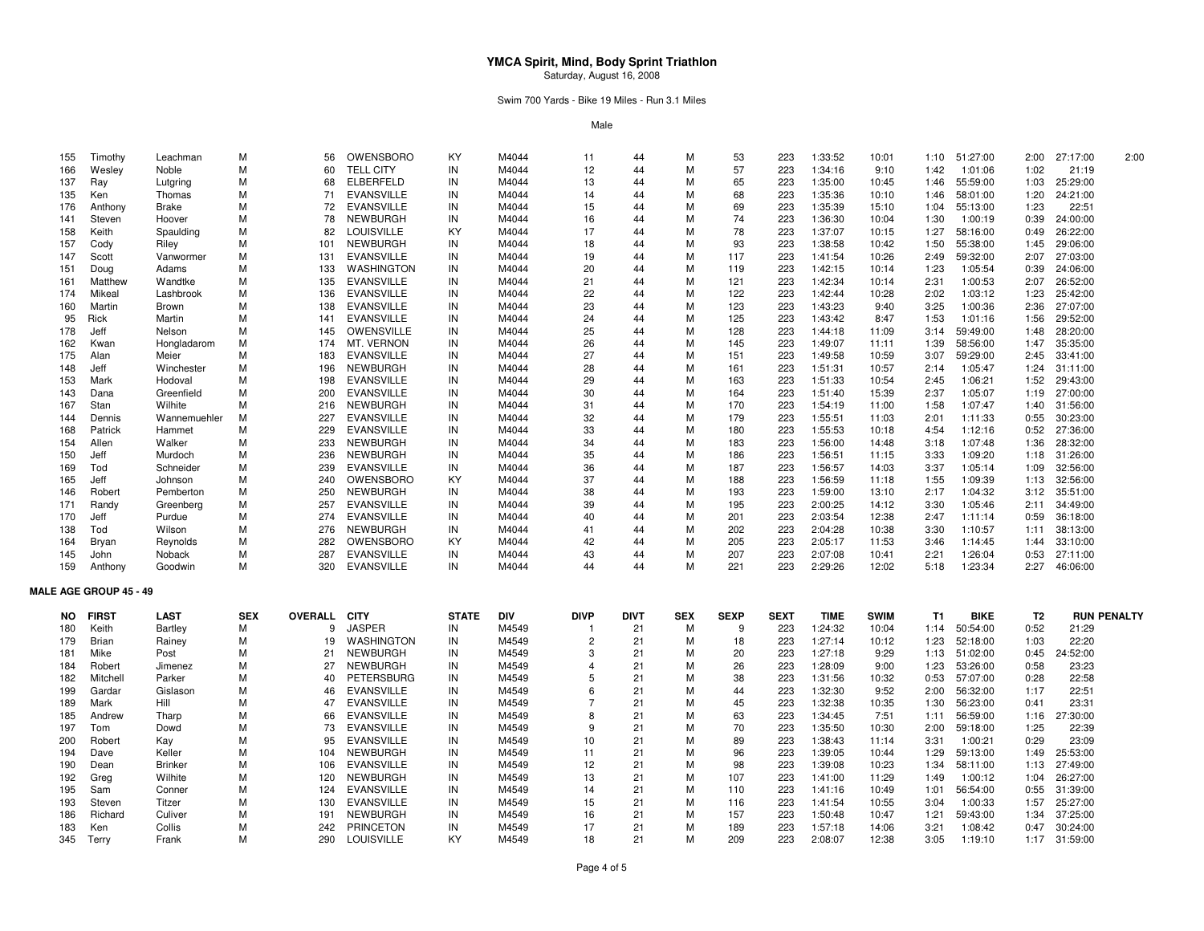Swim 700 Yards - Bike 19 Miles - Run 3.1 Miles

Male

| 155 | Timothy                       | Leachman       | М          | 56             | OWENSBORO         | KY           | M4044      | 11             | 44          | м          | 53          | 223         | 1:33:52     | 10:01       | 1:10      | 51:27:00    | 2:00 | 27:17:00<br>2:00   |
|-----|-------------------------------|----------------|------------|----------------|-------------------|--------------|------------|----------------|-------------|------------|-------------|-------------|-------------|-------------|-----------|-------------|------|--------------------|
| 166 | Wesley                        | Noble          | м          | 60             | <b>TELL CITY</b>  | IN           | M4044      | 12             | 44          | м          | 57          | 223         | 1:34:16     | 9:10        | 1:42      | 1:01:06     | 1:02 | 21:19              |
| 137 | Ray                           | Lutgring       | М          | 68             | ELBERFELD         | IN           | M4044      | 13             | 44          | M          | 65          | 223         | 1:35:00     | 10:45       | 1:46      | 55:59:00    | 1:03 | 25:29:00           |
| 135 | Ken                           | Thomas         | м          | 71             | <b>EVANSVILLE</b> | IN           | M4044      | 14             | 44          | м          | 68          | 223         | 1:35:36     | 10:10       | 1:46      | 58:01:00    | 1:20 | 24:21:00           |
| 176 | Anthony                       | <b>Brake</b>   | м          | 72             | <b>EVANSVILLE</b> | IN           | M4044      | 15             | 44          | м          | 69          | 223         | 1:35:39     | 15:10       | 1:04      | 55:13:00    | 1:23 | 22:51              |
| 141 | Steven                        | Hoover         | м          | 78             | <b>NEWBURGH</b>   | IN           | M4044      | 16             | 44          | м          | 74          | 223         | 1:36:30     | 10:04       | 1:30      | 1:00:19     | 0:39 | 24:00:00           |
| 158 | Keith                         | Spaulding      | м          | 82             | <b>LOUISVILLE</b> | KY           | M4044      | 17             | 44          | м          | 78          | 223         | 1:37:07     | 10:15       | 1:27      | 58:16:00    | 0:49 | 26:22:00           |
| 157 | Cody                          | Riley          | м          | 101            | <b>NEWBURGH</b>   | IN           | M4044      | 18             | 44          | M          | 93          | 223         | 1:38:58     | 10:42       | 1:50      | 55:38:00    | 1:45 | 29:06:00           |
| 147 | Scott                         | Vanwormer      | м          | 131            | <b>EVANSVILLE</b> | IN           | M4044      | 19             | 44          | м          | 117         | 223         | 1:41:54     | 10:26       | 2:49      | 59:32:00    | 2:07 | 27:03:00           |
| 151 | Doug                          | Adams          | м          | 133            | WASHINGTON        | IN           | M4044      | 20             | 44          | M          | 119         | 223         | 1:42:15     | 10:14       | 1:23      | 1:05:54     | 0:39 | 24:06:00           |
| 161 | Matthew                       | Wandtke        | м          | 135            | <b>EVANSVILLE</b> | IN           | M4044      | 21             | 44          | м          | 121         | 223         | 1:42:34     | 10:14       | 2:31      | 1:00:53     | 2:07 | 26:52:00           |
| 174 | Mikeal                        | Lashbrook      | м          | 136            | <b>EVANSVILLE</b> | IN           | M4044      | 22             | 44          | M          | 122         | 223         | 1:42:44     | 10:28       | 2:02      | 1:03:12     | 1:23 | 25:42:00           |
| 160 | Martin                        | Brown          | м          | 138            | <b>EVANSVILLE</b> | IN           | M4044      | 23             | 44          | M          | 123         | 223         | 1:43:23     | 9:40        | 3:25      | 1:00:36     | 2:36 | 27:07:00           |
| 95  | Rick                          | Martin         | м          | 141            | <b>EVANSVILLE</b> | IN           | M4044      | 24             | 44          | м          | 125         | 223         | 1:43:42     | 8:47        | 1:53      | 1:01:16     | 1:56 | 29:52:00           |
| 178 | Jeff                          | Nelson         | м          | 145            | OWENSVILLE        | IN           | M4044      | 25             | 44          | M          | 128         | 223         | 1:44:18     | 11:09       | 3:14      | 59:49:00    | 1:48 | 28:20:00           |
| 162 | Kwan                          | Hongladarom    | м          | 174            | MT. VERNON        | IN           | M4044      | 26             | 44          | м          | 145         | 223         | 1:49:07     | 11:11       | 1:39      | 58:56:00    | 1:47 | 35:35:00           |
| 175 | Alan                          | Meier          | м          | 183            | <b>EVANSVILLE</b> | IN           | M4044      | 27             | 44          | м          | 151         | 223         | 1:49:58     | 10:59       | 3:07      | 59:29:00    | 2:45 | 33:41:00           |
| 148 | Jeff                          | Winchester     | М          | 196            | <b>NEWBURGH</b>   | IN           | M4044      | 28             | 44          | M          | 161         | 223         | 1:51:31     | 10:57       | 2:14      | 1:05:47     | 1:24 | 31:11:00           |
| 153 | Mark                          | Hodoval        | м          | 198            | <b>EVANSVILLE</b> | IN           | M4044      | 29             | 44          | м          | 163         | 223         | 1:51:33     | 10:54       | 2:45      | 1:06:21     | 1:52 | 29:43:00           |
| 143 | Dana                          | Greenfield     | м          | 200            | <b>EVANSVILLE</b> | IN           | M4044      | 30             | 44          | м          | 164         | 223         | 1:51:40     | 15:39       | 2:37      | 1:05:07     | 1:19 | 27:00:00           |
| 167 | Stan                          | Wilhite        | м          | 216            | <b>NEWBURGH</b>   | IN           | M4044      | 31             | 44          | M          | 170         | 223         | 1:54:19     | 11:00       | 1:58      | 1:07:47     | 1:40 | 31:56:00           |
| 144 | Dennis                        | Wannemuehler   | м          | 227            | <b>EVANSVILLE</b> | IN           | M4044      | 32             | 44          | м          | 179         | 223         | 1:55:51     | 11:03       | 2:01      | 1:11:33     | 0:55 | 30:23:00           |
| 168 | Patrick                       | Hammet         | м          | 229            | <b>EVANSVILLE</b> | IN           | M4044      | 33             | 44          | M          | 180         | 223         | 1:55:53     | 10:18       | 4:54      | 1:12:16     | 0:52 | 27:36:00           |
| 154 | Allen                         | Walker         | м          | 233            | <b>NEWBURGH</b>   | IN           | M4044      | 34             | 44          | м          | 183         | 223         | 1:56:00     | 14:48       | 3:18      | 1:07:48     | 1:36 | 28:32:00           |
| 150 | Jeff                          | Murdoch        | м          | 236            | <b>NEWBURGH</b>   | IN           | M4044      | 35             | 44          | м          | 186         | 223         | 1:56:51     | 11:15       | 3:33      | 1:09:20     | 1:18 | 31:26:00           |
| 169 | Tod                           | Schneider      | М          | 239            | <b>EVANSVILLE</b> | IN           | M4044      | 36             | 44          | M          | 187         | 223         | 1:56:57     | 14:03       | 3:37      | 1:05:14     | 1:09 | 32:56:00           |
| 165 | Jeff                          | Johnson        | м          | 240            | OWENSBORO         | KY           | M4044      | 37             | 44          | м          | 188         | 223         | 1:56:59     | 11:18       | 1:55      | 1:09:39     | 1:13 | 32:56:00           |
| 146 | Robert                        | Pemberton      | м          | 250            | <b>NEWBURGH</b>   | IN           | M4044      | 38             | 44          | M          | 193         | 223         | 1:59:00     | 13:10       | 2:17      | 1:04:32     | 3:12 | 35:51:00           |
| 171 | Randy                         | Greenberg      | м          | 257            | <b>EVANSVILLE</b> | IN           | M4044      | 39             | 44          | м          | 195         | 223         | 2:00:25     | 14:12       | 3:30      | 1:05:46     | 2:11 | 34:49:00           |
| 170 | Jeff                          | Purdue         | M          | 274            | <b>EVANSVILLE</b> | IN           | M4044      | 40             | 44          | M          | 201         | 223         | 2:03:54     | 12:38       | 2:47      | 1:11:14     | 0:59 | 36:18:00           |
| 138 | Tod                           | Wilson         | М          | 276            | <b>NEWBURGH</b>   | IN           | M4044      | 41             | 44          | M          | 202         | 223         | 2:04:28     | 10:38       | 3:30      | 1:10:57     | 1:11 | 38:13:00           |
| 164 | Bryan                         | Reynolds       | м          | 282            | OWENSBORO         | KY           | M4044      | 42             | 44          | м          | 205         | 223         | 2:05:17     | 11:53       | 3:46      | 1:14:45     | 1:44 | 33:10:00           |
| 145 | John                          | Noback         | M          | 287            | <b>EVANSVILLE</b> | IN           | M4044      | 43             | 44          | M          | 207         | 223         | 2:07:08     | 10:41       | 2:21      | 1:26:04     | 0:53 | 27:11:00           |
| 159 | Anthony                       | Goodwin        | м          | 320            | <b>EVANSVILLE</b> | IN           | M4044      | 44             | 44          | м          | 221         | 223         | 2:29:26     | 12:02       | 5:18      | 1:23:34     | 2:27 | 46:06:00           |
|     |                               |                |            |                |                   |              |            |                |             |            |             |             |             |             |           |             |      |                    |
|     | <b>MALE AGE GROUP 45 - 49</b> |                |            |                |                   |              |            |                |             |            |             |             |             |             |           |             |      |                    |
| NO. | <b>FIRST</b>                  | <b>LAST</b>    | <b>SEX</b> | <b>OVERALL</b> | <b>CITY</b>       | <b>STATE</b> | <b>DIV</b> | <b>DIVP</b>    | <b>DIVT</b> | <b>SEX</b> | <b>SEXP</b> | <b>SEXT</b> | <b>TIME</b> | <b>SWIM</b> | <b>T1</b> | <b>BIKE</b> | T2   | <b>RUN PENALTY</b> |
| 180 | Keith                         | Bartley        | м          | 9              | <b>JASPER</b>     | IN           | M4549      | -1             | 21          | м          | 9           | 223         | 1:24:32     | 10:04       | 1:14      | 50:54:00    | 0:52 | 21:29              |
| 179 | <b>Brian</b>                  | Rainey         | м          | 19             | <b>WASHINGTON</b> | IN           | M4549      | $\overline{2}$ | 21          | м          | 18          | 223         | 1:27:14     | 10:12       | 1:23      | 52:18:00    | 1:03 | 22:20              |
| 181 | Mike                          | Post           | М          | 21             | NEWBURGH          | IN           | M4549      | 3              | 21          | M          | 20          | 223         | 1:27:18     | 9:29        | 1:13      | 51:02:00    | 0:45 | 24:52:00           |
| 184 | Robert                        | Jimenez        | M          | 27             | <b>NEWBURGH</b>   | IN           | M4549      |                | 21          | M          | 26          | 223         | 1:28:09     | 9:00        | 1:23      | 53:26:00    | 0:58 | 23:23              |
| 182 | Mitchell                      | Parker         | м          | 40             | <b>PETERSBURG</b> | IN           | M4549      | 5              | 21          | м          | 38          | 223         | 1:31:56     | 10:32       | 0:53      | 57:07:00    | 0:28 | 22:58              |
| 199 | Gardar                        | Gislason       | М          | 46             | <b>EVANSVILLE</b> | IN           | M4549      | 6              | 21          | M          | 44          | 223         | 1:32:30     | 9:52        | 2:00      | 56:32:00    | 1:17 | 22:51              |
| 189 | Mark                          | Hill           | M          | 47             | <b>EVANSVILLE</b> | IN           | M4549      | $\overline{7}$ | 21          | M          | 45          | 223         | 1:32:38     | 10:35       | 1:30      | 56:23:00    | 0:41 | 23:31              |
| 185 | Andrew                        | Tharp          | м          | 66             | <b>EVANSVILLE</b> | IN           | M4549      | 8              | 21          | м          | 63          | 223         | 1:34:45     | 7:51        | 1:11      | 56:59:00    | 1:16 | 27:30:00           |
| 197 | Tom                           | Dowd           | м          | 73             | <b>EVANSVILLE</b> | IN           | M4549      | 9              | 21          | м          | 70          | 223         | 1:35:50     | 10:30       | 2:00      | 59:18:00    | 1:25 | 22:39              |
| 200 | Robert                        | Kay            | M          | 95             | <b>EVANSVILLE</b> | IN           | M4549      | 10             | 21          | M          | 89          | 223         | 1:38:43     | 11:14       | 3:31      | 1:00:21     | 0:29 | 23:09              |
| 194 | Dave                          | Keller         | м          | 104            | <b>NEWBURGH</b>   | IN           | M4549      | 11             | 21          | M          | 96          | 223         | 1:39:05     | 10:44       | 1:29      | 59:13:00    | 1:49 | 25:53:00           |
| 190 | Dean                          | <b>Brinker</b> | м          | 106            | <b>EVANSVILLE</b> | IN           | M4549      | 12             | 21          | м          | 98          | 223         | 1:39:08     | 10:23       | 1:34      | 58:11:00    | 1:13 | 27:49:00           |
| 192 | Greg                          | Wilhite        | M          | 120            | <b>NEWBURGH</b>   | IN           | M4549      | 13             | 21          | M          | 107         | 223         | 1:41:00     | 11:29       | 1:49      | 1:00:12     | 1:04 | 26:27:00           |
| 195 | Sam                           | Conner         | м          | 124            | <b>EVANSVILLE</b> | IN           | M4549      | 14             | 21          | м          | 110         | 223         | 1:41:16     | 10:49       | 1:01      | 56:54:00    | 0:55 | 31:39:00           |
| 193 | Steven                        | Titzer         | м          | 130            | <b>EVANSVILLE</b> | IN           | M4549      | 15             | 21          | м          | 116         | 223         | 1:41:54     | 10:55       | 3:04      | 1:00:33     | 1:57 | 25:27:00           |
| 186 | Richard                       | Culiver        | M          | 191            | <b>NEWBURGH</b>   | IN           | M4549      | 16             | 21          | M          | 157         | 223         | 1:50:48     | 10:47       | 1:21      | 59:43:00    | 1:34 | 37:25:00           |
| 183 | Ken                           | Collis         | м          | 242            | <b>PRINCETON</b>  | IN           | M4549      | 17             | 21          | м          | 189         | 223         | 1:57:18     | 14:06       | 3:21      | 1:08:42     | 0:47 | 30:24:00           |
| 345 | Terry                         | Frank          | м          | 290            | <b>LOUISVILLE</b> | KY           | M4549      | 18             | 21          | M          | 209         | 223         | 2:08:07     | 12:38       | 3:05      | 1:19:10     | 1:17 | 31:59:00           |